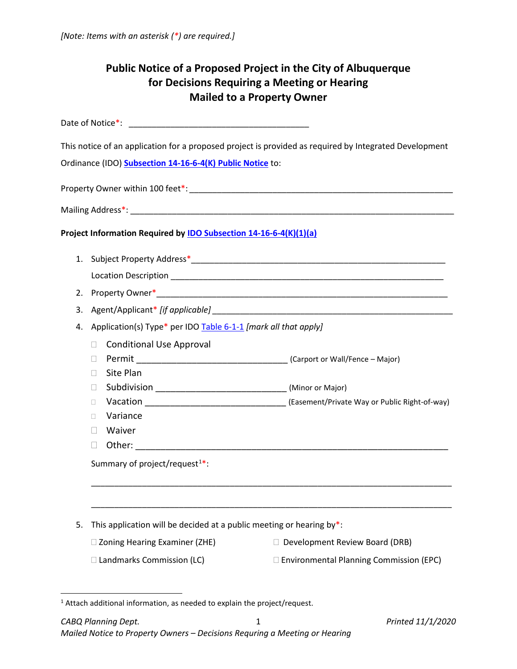| <b>Public Notice of a Proposed Project in the City of Albuquerque</b><br>for Decisions Requiring a Meeting or Hearing<br><b>Mailed to a Property Owner</b> |                                                                                                                                                                                                |                                                                                                                                                                                                                               |
|------------------------------------------------------------------------------------------------------------------------------------------------------------|------------------------------------------------------------------------------------------------------------------------------------------------------------------------------------------------|-------------------------------------------------------------------------------------------------------------------------------------------------------------------------------------------------------------------------------|
|                                                                                                                                                            |                                                                                                                                                                                                |                                                                                                                                                                                                                               |
|                                                                                                                                                            | Ordinance (IDO) Subsection 14-16-6-4(K) Public Notice to:                                                                                                                                      | This notice of an application for a proposed project is provided as required by Integrated Development                                                                                                                        |
|                                                                                                                                                            |                                                                                                                                                                                                |                                                                                                                                                                                                                               |
|                                                                                                                                                            |                                                                                                                                                                                                |                                                                                                                                                                                                                               |
|                                                                                                                                                            | Project Information Required by <b>IDO Subsection 14-16-6-4(K)(1)(a)</b>                                                                                                                       |                                                                                                                                                                                                                               |
| 3.<br>4.                                                                                                                                                   | Application(s) Type* per IDO Table 6-1-1 [mark all that apply]<br><b>Conditional Use Approval</b><br>$\Box$<br>П<br>Site Plan<br>П<br>$\Box$<br>$\Box$<br>Variance<br>П.<br>Waiver             | Agent/Applicant* [if applicable] example and all the set of the set of the set of the set of the set of the set of the set of the set of the set of the set of the set of the set of the set of the set of the set of the set |
| 5.                                                                                                                                                         | Other:<br>Summary of project/request <sup>1*</sup> :<br>This application will be decided at a public meeting or hearing by*:<br>□ Zoning Hearing Examiner (ZHE)<br>□ Landmarks Commission (LC) | $\Box$ Development Review Board (DRB)<br>□ Environmental Planning Commission (EPC)                                                                                                                                            |
|                                                                                                                                                            |                                                                                                                                                                                                |                                                                                                                                                                                                                               |

<span id="page-0-0"></span><sup>&</sup>lt;sup>1</sup> Attach additional information, as needed to explain the project/request.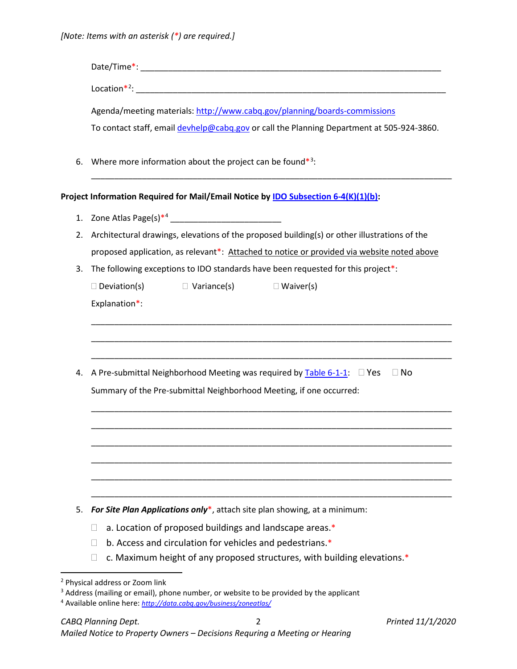|                                                                         | Date/Time*: Note of the second state of the second state of the second state of the second state of the second state of the second state of the second state of the second state of the second state of the second state of th<br>Agenda/meeting materials: http://www.cabq.gov/planning/boards-commissions |  |  |
|-------------------------------------------------------------------------|-------------------------------------------------------------------------------------------------------------------------------------------------------------------------------------------------------------------------------------------------------------------------------------------------------------|--|--|
|                                                                         |                                                                                                                                                                                                                                                                                                             |  |  |
|                                                                         |                                                                                                                                                                                                                                                                                                             |  |  |
|                                                                         | To contact staff, email devhelp@cabq.gov or call the Planning Department at 505-924-3860.                                                                                                                                                                                                                   |  |  |
| 6.                                                                      | Where more information about the project can be found $*3$ :                                                                                                                                                                                                                                                |  |  |
|                                                                         | Project Information Required for Mail/Email Notice by IDO Subsection 6-4(K)(1)(b):                                                                                                                                                                                                                          |  |  |
| 1.                                                                      |                                                                                                                                                                                                                                                                                                             |  |  |
| 2.                                                                      | Architectural drawings, elevations of the proposed building(s) or other illustrations of the                                                                                                                                                                                                                |  |  |
|                                                                         | proposed application, as relevant*: Attached to notice or provided via website noted above                                                                                                                                                                                                                  |  |  |
| 3.                                                                      | The following exceptions to IDO standards have been requested for this project*:                                                                                                                                                                                                                            |  |  |
|                                                                         | $\Box$ Deviation(s)<br>$\Box$ Variance(s)<br>$\Box$ Waiver(s)                                                                                                                                                                                                                                               |  |  |
|                                                                         | Explanation*:                                                                                                                                                                                                                                                                                               |  |  |
|                                                                         |                                                                                                                                                                                                                                                                                                             |  |  |
|                                                                         |                                                                                                                                                                                                                                                                                                             |  |  |
|                                                                         |                                                                                                                                                                                                                                                                                                             |  |  |
| 4.                                                                      | A Pre-submittal Neighborhood Meeting was required by $\overline{\text{Table 6-1-1}}$ . $\Box$ Yes<br>$\Box$ No                                                                                                                                                                                              |  |  |
|                                                                         | Summary of the Pre-submittal Neighborhood Meeting, if one occurred:                                                                                                                                                                                                                                         |  |  |
|                                                                         |                                                                                                                                                                                                                                                                                                             |  |  |
|                                                                         |                                                                                                                                                                                                                                                                                                             |  |  |
|                                                                         |                                                                                                                                                                                                                                                                                                             |  |  |
|                                                                         |                                                                                                                                                                                                                                                                                                             |  |  |
|                                                                         |                                                                                                                                                                                                                                                                                                             |  |  |
| 5.                                                                      | For Site Plan Applications only*, attach site plan showing, at a minimum:                                                                                                                                                                                                                                   |  |  |
| a. Location of proposed buildings and landscape areas.*<br>$\mathbf{L}$ |                                                                                                                                                                                                                                                                                                             |  |  |
|                                                                         | b. Access and circulation for vehicles and pedestrians.*<br>$\mathbf{L}$                                                                                                                                                                                                                                    |  |  |
|                                                                         | c. Maximum height of any proposed structures, with building elevations.*<br>$\mathbf{L}$                                                                                                                                                                                                                    |  |  |
|                                                                         |                                                                                                                                                                                                                                                                                                             |  |  |

<span id="page-1-0"></span> <sup>2</sup> Physical address or Zoom link

<span id="page-1-1"></span><sup>&</sup>lt;sup>3</sup> Address (mailing or email), phone number, or website to be provided by the applicant

<span id="page-1-2"></span><sup>4</sup> Available online here: *<http://data.cabq.gov/business/zoneatlas/>*